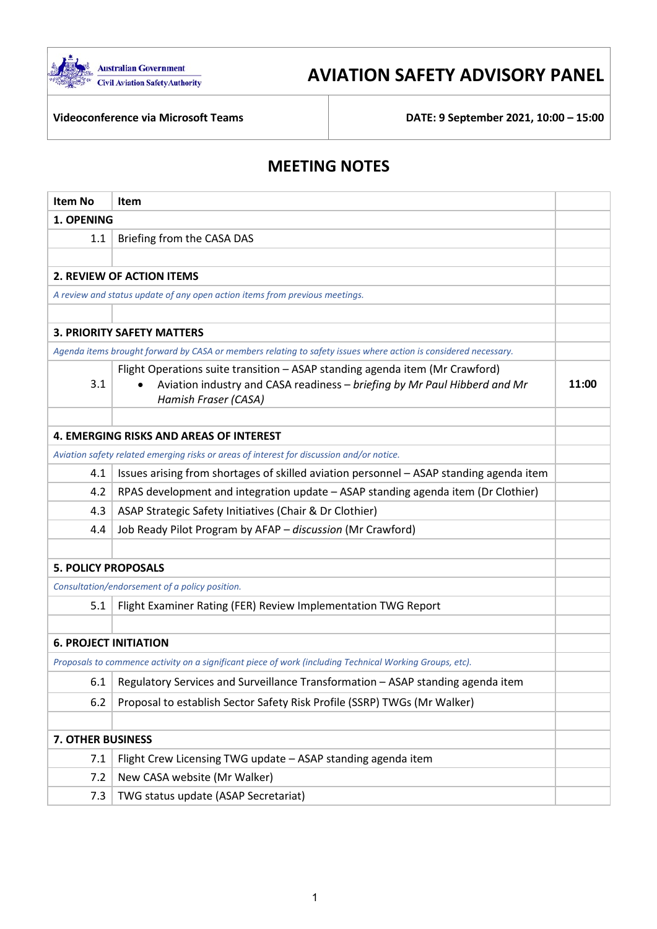

# **AVIATION SAFETY ADVISORY PANEL**

**Videoconference via Microsoft Teams DATE: 9 September 2021, 10:00 – 15:00**

## **MEETING NOTES**

| <b>Item No</b>                                 | Item                                                                                                                                                                                           |       |
|------------------------------------------------|------------------------------------------------------------------------------------------------------------------------------------------------------------------------------------------------|-------|
| 1. OPENING                                     |                                                                                                                                                                                                |       |
| 1.1                                            | Briefing from the CASA DAS                                                                                                                                                                     |       |
|                                                |                                                                                                                                                                                                |       |
|                                                | <b>2. REVIEW OF ACTION ITEMS</b>                                                                                                                                                               |       |
|                                                | A review and status update of any open action items from previous meetings.                                                                                                                    |       |
|                                                |                                                                                                                                                                                                |       |
|                                                | <b>3. PRIORITY SAFETY MATTERS</b>                                                                                                                                                              |       |
|                                                | Agenda items brought forward by CASA or members relating to safety issues where action is considered necessary.                                                                                |       |
| 3.1                                            | Flight Operations suite transition - ASAP standing agenda item (Mr Crawford)<br>Aviation industry and CASA readiness - briefing by Mr Paul Hibberd and Mr<br>$\bullet$<br>Hamish Fraser (CASA) | 11:00 |
|                                                |                                                                                                                                                                                                |       |
|                                                | <b>4. EMERGING RISKS AND AREAS OF INTEREST</b>                                                                                                                                                 |       |
|                                                | Aviation safety related emerging risks or areas of interest for discussion and/or notice.                                                                                                      |       |
| 4.1                                            | Issues arising from shortages of skilled aviation personnel - ASAP standing agenda item                                                                                                        |       |
| 4.2                                            | RPAS development and integration update - ASAP standing agenda item (Dr Clothier)                                                                                                              |       |
| 4.3                                            | ASAP Strategic Safety Initiatives (Chair & Dr Clothier)                                                                                                                                        |       |
| 4.4                                            | Job Ready Pilot Program by AFAP - discussion (Mr Crawford)                                                                                                                                     |       |
|                                                |                                                                                                                                                                                                |       |
| <b>5. POLICY PROPOSALS</b>                     |                                                                                                                                                                                                |       |
| Consultation/endorsement of a policy position. |                                                                                                                                                                                                |       |
| 5.1                                            | Flight Examiner Rating (FER) Review Implementation TWG Report                                                                                                                                  |       |
|                                                |                                                                                                                                                                                                |       |
| <b>6. PROJECT INITIATION</b>                   |                                                                                                                                                                                                |       |
|                                                | Proposals to commence activity on a significant piece of work (including Technical Working Groups, etc).                                                                                       |       |
| 6.1                                            | Regulatory Services and Surveillance Transformation - ASAP standing agenda item                                                                                                                |       |
| 6.2                                            | Proposal to establish Sector Safety Risk Profile (SSRP) TWGs (Mr Walker)                                                                                                                       |       |
|                                                |                                                                                                                                                                                                |       |
| <b>7. OTHER BUSINESS</b>                       |                                                                                                                                                                                                |       |
| 7.1                                            | Flight Crew Licensing TWG update - ASAP standing agenda item                                                                                                                                   |       |
| 7.2                                            | New CASA website (Mr Walker)                                                                                                                                                                   |       |
| 7.3                                            | TWG status update (ASAP Secretariat)                                                                                                                                                           |       |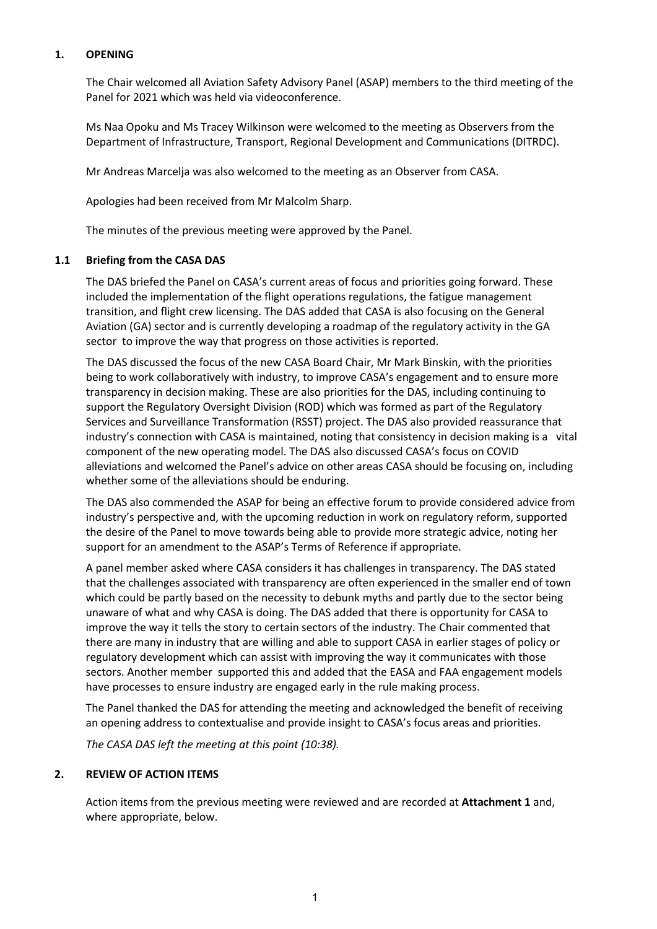## **1. OPENING**

The Chair welcomed all Aviation Safety Advisory Panel (ASAP) members to the third meeting of the Panel for 2021 which was held via videoconference.

Ms Naa Opoku and Ms Tracey Wilkinson were welcomed to the meeting as Observers from the Department of Infrastructure, Transport, Regional Development and Communications (DITRDC).

Mr Andreas Marcelja was also welcomed to the meeting as an Observer from CASA.

Apologies had been received from Mr Malcolm Sharp.

The minutes of the previous meeting were approved by the Panel.

#### **1.1 Briefing from the CASA DAS**

The DAS briefed the Panel on CASA's current areas of focus and priorities going forward. These included the implementation of the flight operations regulations, the fatigue management transition, and flight crew licensing. The DAS added that CASA is also focusing on the General Aviation (GA) sector and is currently developing a roadmap of the regulatory activity in the GA sector to improve the way that progress on those activities is reported.

The DAS discussed the focus of the new CASA Board Chair, Mr Mark Binskin, with the priorities being to work collaboratively with industry, to improve CASA's engagement and to ensure more transparency in decision making. These are also priorities for the DAS, including continuing to support the Regulatory Oversight Division (ROD) which was formed as part of the Regulatory Services and Surveillance Transformation (RSST) project. The DAS also provided reassurance that industry's connection with CASA is maintained, noting that consistency in decision making is a vital component of the new operating model. The DAS also discussed CASA's focus on COVID alleviations and welcomed the Panel's advice on other areas CASA should be focusing on, including whether some of the alleviations should be enduring.

The DAS also commended the ASAP for being an effective forum to provide considered advice from industry's perspective and, with the upcoming reduction in work on regulatory reform, supported the desire of the Panel to move towards being able to provide more strategic advice, noting her support for an amendment to the ASAP's Terms of Reference if appropriate.

A panel member asked where CASA considers it has challenges in transparency. The DAS stated that the challenges associated with transparency are often experienced in the smaller end of town which could be partly based on the necessity to debunk myths and partly due to the sector being unaware of what and why CASA is doing. The DAS added that there is opportunity for CASA to improve the way it tells the story to certain sectors of the industry. The Chair commented that there are many in industry that are willing and able to support CASA in earlier stages of policy or regulatory development which can assist with improving the way it communicates with those sectors. Another member supported this and added that the EASA and FAA engagement models have processes to ensure industry are engaged early in the rule making process.

The Panel thanked the DAS for attending the meeting and acknowledged the benefit of receiving an opening address to contextualise and provide insight to CASA's focus areas and priorities.

*The CASA DAS left the meeting at this point (10:38).*

#### **2. REVIEW OF ACTION ITEMS**

Action items from the previous meeting were reviewed and are recorded at **Attachment 1** and, where appropriate, below.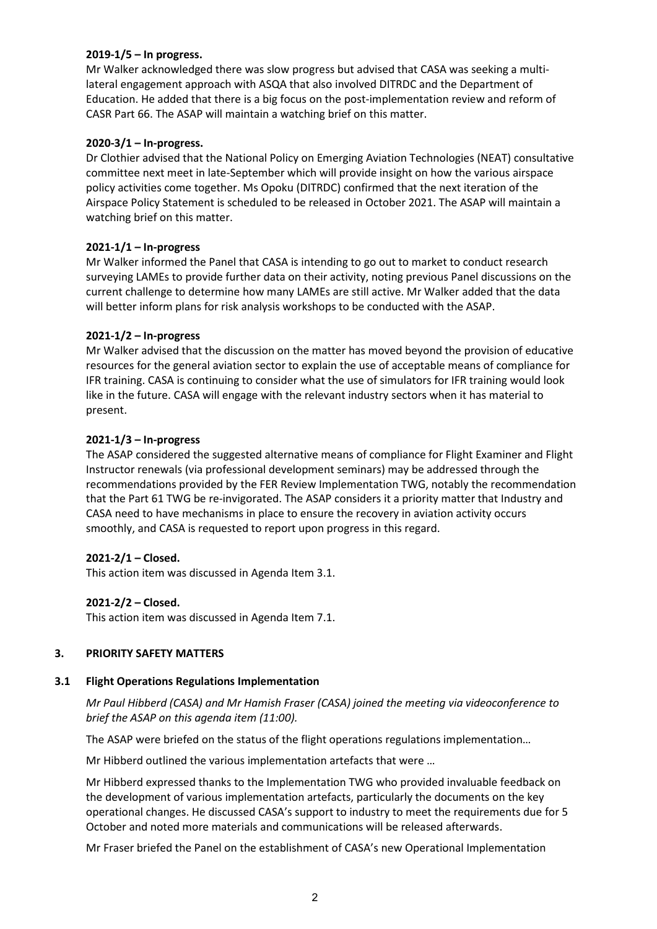## **2019-1/5 – In progress.**

Mr Walker acknowledged there was slow progress but advised that CASA was seeking a multilateral engagement approach with ASQA that also involved DITRDC and the Department of Education. He added that there is a big focus on the post-implementation review and reform of CASR Part 66. The ASAP will maintain a watching brief on this matter.

#### **2020-3/1 – In-progress.**

Dr Clothier advised that the National Policy on Emerging Aviation Technologies (NEAT) consultative committee next meet in late-September which will provide insight on how the various airspace policy activities come together. Ms Opoku (DITRDC) confirmed that the next iteration of the Airspace Policy Statement is scheduled to be released in October 2021. The ASAP will maintain a watching brief on this matter.

#### **2021-1/1 – In-progress**

Mr Walker informed the Panel that CASA is intending to go out to market to conduct research surveying LAMEs to provide further data on their activity, noting previous Panel discussions on the current challenge to determine how many LAMEs are still active. Mr Walker added that the data will better inform plans for risk analysis workshops to be conducted with the ASAP.

#### **2021-1/2 – In-progress**

Mr Walker advised that the discussion on the matter has moved beyond the provision of educative resources for the general aviation sector to explain the use of acceptable means of compliance for IFR training. CASA is continuing to consider what the use of simulators for IFR training would look like in the future. CASA will engage with the relevant industry sectors when it has material to present.

#### **2021-1/3 – In-progress**

The ASAP considered the suggested alternative means of compliance for Flight Examiner and Flight Instructor renewals (via professional development seminars) may be addressed through the recommendations provided by the FER Review Implementation TWG, notably the recommendation that the Part 61 TWG be re-invigorated. The ASAP considers it a priority matter that Industry and CASA need to have mechanisms in place to ensure the recovery in aviation activity occurs smoothly, and CASA is requested to report upon progress in this regard.

## **2021-2/1 – Closed.**

This action item was discussed in Agenda Item 3.1.

## **2021-2/2 – Closed.**

This action item was discussed in Agenda Item 7.1.

## **3. PRIORITY SAFETY MATTERS**

#### **3.1 Flight Operations Regulations Implementation**

*Mr Paul Hibberd (CASA) and Mr Hamish Fraser (CASA) joined the meeting via videoconference to brief the ASAP on this agenda item (11:00).*

The ASAP were briefed on the status of the flight operations regulations implementation…

Mr Hibberd outlined the various implementation artefacts that were …

Mr Hibberd expressed thanks to the Implementation TWG who provided invaluable feedback on the development of various implementation artefacts, particularly the documents on the key operational changes. He discussed CASA's support to industry to meet the requirements due for 5 October and noted more materials and communications will be released afterwards.

Mr Fraser briefed the Panel on the establishment of CASA's new Operational Implementation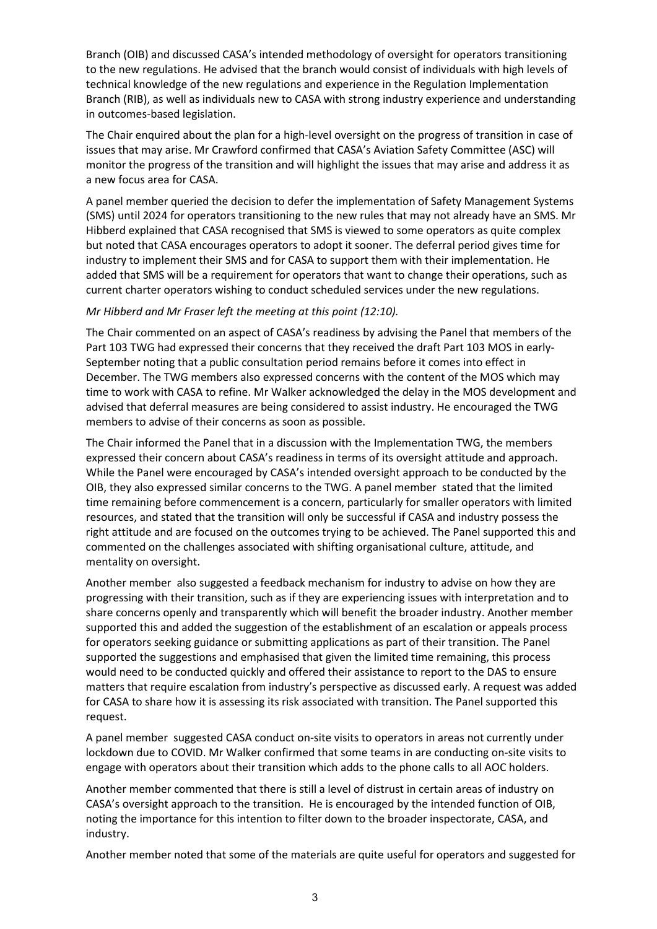Branch (OIB) and discussed CASA's intended methodology of oversight for operators transitioning to the new regulations. He advised that the branch would consist of individuals with high levels of technical knowledge of the new regulations and experience in the Regulation Implementation Branch (RIB), as well as individuals new to CASA with strong industry experience and understanding in outcomes-based legislation.

The Chair enquired about the plan for a high-level oversight on the progress of transition in case of issues that may arise. Mr Crawford confirmed that CASA's Aviation Safety Committee (ASC) will monitor the progress of the transition and will highlight the issues that may arise and address it as a new focus area for CASA.

A panel member queried the decision to defer the implementation of Safety Management Systems (SMS) until 2024 for operators transitioning to the new rules that may not already have an SMS. Mr Hibberd explained that CASA recognised that SMS is viewed to some operators as quite complex but noted that CASA encourages operators to adopt it sooner. The deferral period gives time for industry to implement their SMS and for CASA to support them with their implementation. He added that SMS will be a requirement for operators that want to change their operations, such as current charter operators wishing to conduct scheduled services under the new regulations.

#### *Mr Hibberd and Mr Fraser left the meeting at this point (12:10).*

The Chair commented on an aspect of CASA's readiness by advising the Panel that members of the Part 103 TWG had expressed their concerns that they received the draft Part 103 MOS in early-September noting that a public consultation period remains before it comes into effect in December. The TWG members also expressed concerns with the content of the MOS which may time to work with CASA to refine. Mr Walker acknowledged the delay in the MOS development and advised that deferral measures are being considered to assist industry. He encouraged the TWG members to advise of their concerns as soon as possible.

The Chair informed the Panel that in a discussion with the Implementation TWG, the members expressed their concern about CASA's readiness in terms of its oversight attitude and approach. While the Panel were encouraged by CASA's intended oversight approach to be conducted by the OIB, they also expressed similar concerns to the TWG. A panel member stated that the limited time remaining before commencement is a concern, particularly for smaller operators with limited resources, and stated that the transition will only be successful if CASA and industry possess the right attitude and are focused on the outcomes trying to be achieved. The Panel supported this and commented on the challenges associated with shifting organisational culture, attitude, and mentality on oversight.

Another member also suggested a feedback mechanism for industry to advise on how they are progressing with their transition, such as if they are experiencing issues with interpretation and to share concerns openly and transparently which will benefit the broader industry. Another member supported this and added the suggestion of the establishment of an escalation or appeals process for operators seeking guidance or submitting applications as part of their transition. The Panel supported the suggestions and emphasised that given the limited time remaining, this process would need to be conducted quickly and offered their assistance to report to the DAS to ensure matters that require escalation from industry's perspective as discussed early. A request was added for CASA to share how it is assessing its risk associated with transition. The Panel supported this request.

A panel member suggested CASA conduct on-site visits to operators in areas not currently under lockdown due to COVID. Mr Walker confirmed that some teams in are conducting on-site visits to engage with operators about their transition which adds to the phone calls to all AOC holders.

Another member commented that there is still a level of distrust in certain areas of industry on CASA's oversight approach to the transition. He is encouraged by the intended function of OIB, noting the importance for this intention to filter down to the broader inspectorate, CASA, and industry.

Another member noted that some of the materials are quite useful for operators and suggested for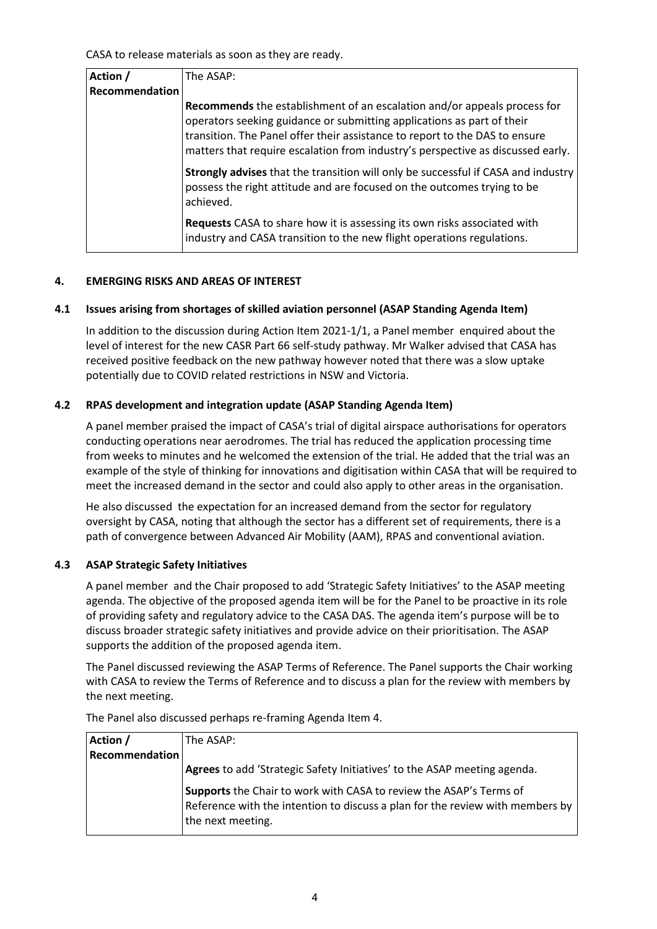CASA to release materials as soon as they are ready.

| Action /       | The ASAP:                                                                                                                                                                                                                                                                                                                   |
|----------------|-----------------------------------------------------------------------------------------------------------------------------------------------------------------------------------------------------------------------------------------------------------------------------------------------------------------------------|
| Recommendation |                                                                                                                                                                                                                                                                                                                             |
|                | <b>Recommends</b> the establishment of an escalation and/or appeals process for<br>operators seeking guidance or submitting applications as part of their<br>transition. The Panel offer their assistance to report to the DAS to ensure<br>matters that require escalation from industry's perspective as discussed early. |
|                | Strongly advises that the transition will only be successful if CASA and industry<br>possess the right attitude and are focused on the outcomes trying to be<br>achieved.                                                                                                                                                   |
|                | Requests CASA to share how it is assessing its own risks associated with<br>industry and CASA transition to the new flight operations regulations.                                                                                                                                                                          |

#### **4. EMERGING RISKS AND AREAS OF INTEREST**

#### **4.1 Issues arising from shortages of skilled aviation personnel (ASAP Standing Agenda Item)**

In addition to the discussion during Action Item 2021-1/1, a Panel member enquired about the level of interest for the new CASR Part 66 self-study pathway. Mr Walker advised that CASA has received positive feedback on the new pathway however noted that there was a slow uptake potentially due to COVID related restrictions in NSW and Victoria.

#### **4.2 RPAS development and integration update (ASAP Standing Agenda Item)**

A panel member praised the impact of CASA's trial of digital airspace authorisations for operators conducting operations near aerodromes. The trial has reduced the application processing time from weeks to minutes and he welcomed the extension of the trial. He added that the trial was an example of the style of thinking for innovations and digitisation within CASA that will be required to meet the increased demand in the sector and could also apply to other areas in the organisation.

He also discussed the expectation for an increased demand from the sector for regulatory oversight by CASA, noting that although the sector has a different set of requirements, there is a path of convergence between Advanced Air Mobility (AAM), RPAS and conventional aviation.

#### **4.3 ASAP Strategic Safety Initiatives**

A panel member and the Chair proposed to add 'Strategic Safety Initiatives' to the ASAP meeting agenda. The objective of the proposed agenda item will be for the Panel to be proactive in its role of providing safety and regulatory advice to the CASA DAS. The agenda item's purpose will be to discuss broader strategic safety initiatives and provide advice on their prioritisation. The ASAP supports the addition of the proposed agenda item.

The Panel discussed reviewing the ASAP Terms of Reference. The Panel supports the Chair working with CASA to review the Terms of Reference and to discuss a plan for the review with members by the next meeting.

| Action /       | The ASAP:                                                                                                                                                                |
|----------------|--------------------------------------------------------------------------------------------------------------------------------------------------------------------------|
| Recommendation |                                                                                                                                                                          |
|                | Agrees to add 'Strategic Safety Initiatives' to the ASAP meeting agenda.                                                                                                 |
|                | Supports the Chair to work with CASA to review the ASAP's Terms of<br>Reference with the intention to discuss a plan for the review with members by<br>the next meeting. |

The Panel also discussed perhaps re-framing Agenda Item 4.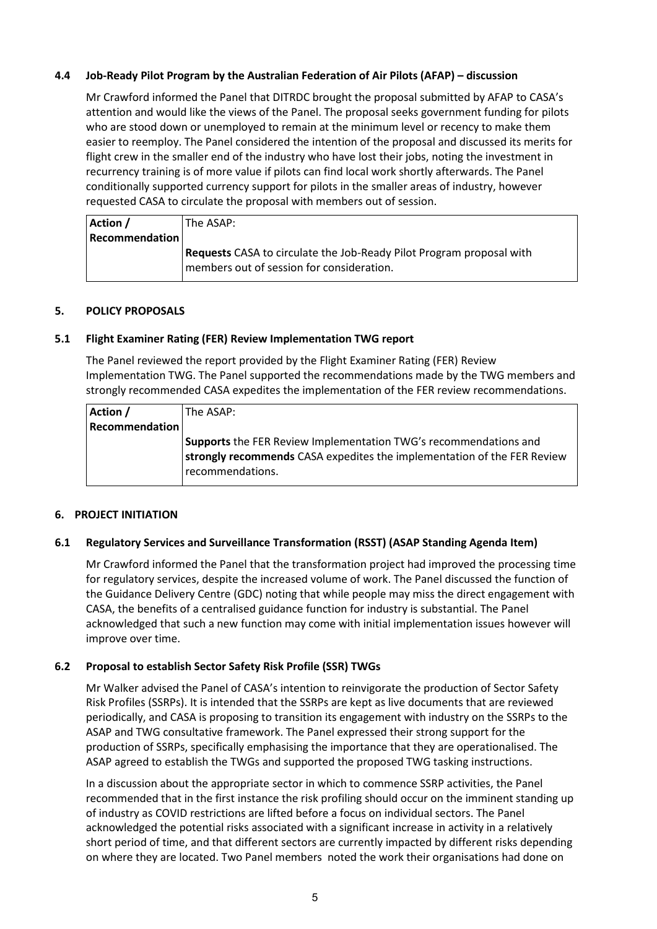## **4.4 Job-Ready Pilot Program by the Australian Federation of Air Pilots (AFAP) – discussion**

Mr Crawford informed the Panel that DITRDC brought the proposal submitted by AFAP to CASA's attention and would like the views of the Panel. The proposal seeks government funding for pilots who are stood down or unemployed to remain at the minimum level or recency to make them easier to reemploy. The Panel considered the intention of the proposal and discussed its merits for flight crew in the smaller end of the industry who have lost their jobs, noting the investment in recurrency training is of more value if pilots can find local work shortly afterwards. The Panel conditionally supported currency support for pilots in the smaller areas of industry, however requested CASA to circulate the proposal with members out of session.

| Action /              | The ASAP:                                                                   |
|-----------------------|-----------------------------------------------------------------------------|
| <b>Recommendation</b> |                                                                             |
|                       | <b>Requests</b> CASA to circulate the Job-Ready Pilot Program proposal with |
|                       | members out of session for consideration.                                   |

#### **5. POLICY PROPOSALS**

#### **5.1 Flight Examiner Rating (FER) Review Implementation TWG report**

The Panel reviewed the report provided by the Flight Examiner Rating (FER) Review Implementation TWG. The Panel supported the recommendations made by the TWG members and strongly recommended CASA expedites the implementation of the FER review recommendations.

| Action /              | The ASAP:                                                                                                                                                       |
|-----------------------|-----------------------------------------------------------------------------------------------------------------------------------------------------------------|
| <b>Recommendation</b> |                                                                                                                                                                 |
|                       | Supports the FER Review Implementation TWG's recommendations and<br>strongly recommends CASA expedites the implementation of the FER Review<br>recommendations. |

#### **6. PROJECT INITIATION**

#### **6.1 Regulatory Services and Surveillance Transformation (RSST) (ASAP Standing Agenda Item)**

Mr Crawford informed the Panel that the transformation project had improved the processing time for regulatory services, despite the increased volume of work. The Panel discussed the function of the Guidance Delivery Centre (GDC) noting that while people may miss the direct engagement with CASA, the benefits of a centralised guidance function for industry is substantial. The Panel acknowledged that such a new function may come with initial implementation issues however will improve over time.

## **6.2 Proposal to establish Sector Safety Risk Profile (SSR) TWGs**

Mr Walker advised the Panel of CASA's intention to reinvigorate the production of Sector Safety Risk Profiles (SSRPs). It is intended that the SSRPs are kept as live documents that are reviewed periodically, and CASA is proposing to transition its engagement with industry on the SSRPs to the ASAP and TWG consultative framework. The Panel expressed their strong support for the production of SSRPs, specifically emphasising the importance that they are operationalised. The ASAP agreed to establish the TWGs and supported the proposed TWG tasking instructions.

In a discussion about the appropriate sector in which to commence SSRP activities, the Panel recommended that in the first instance the risk profiling should occur on the imminent standing up of industry as COVID restrictions are lifted before a focus on individual sectors. The Panel acknowledged the potential risks associated with a significant increase in activity in a relatively short period of time, and that different sectors are currently impacted by different risks depending on where they are located. Two Panel members noted the work their organisations had done on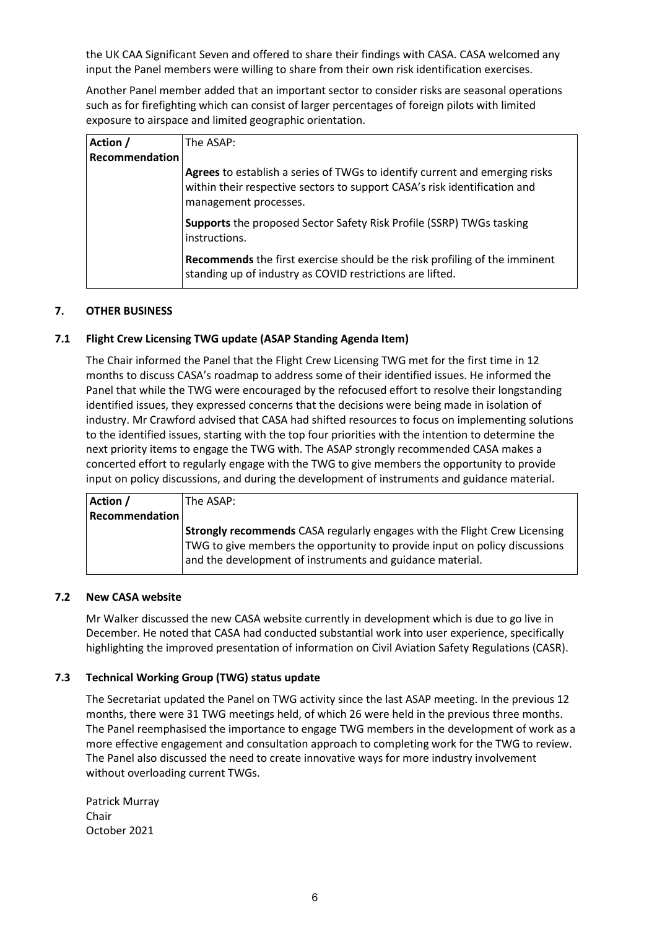the UK CAA Significant Seven and offered to share their findings with CASA. CASA welcomed any input the Panel members were willing to share from their own risk identification exercises.

Another Panel member added that an important sector to consider risks are seasonal operations such as for firefighting which can consist of larger percentages of foreign pilots with limited exposure to airspace and limited geographic orientation.

| Action /       | The ASAP:                                                                                                                                                                         |
|----------------|-----------------------------------------------------------------------------------------------------------------------------------------------------------------------------------|
| Recommendation |                                                                                                                                                                                   |
|                | Agrees to establish a series of TWGs to identify current and emerging risks<br>within their respective sectors to support CASA's risk identification and<br>management processes. |
|                | <b>Supports</b> the proposed Sector Safety Risk Profile (SSRP) TWGs tasking<br>instructions.                                                                                      |
|                | Recommends the first exercise should be the risk profiling of the imminent<br>standing up of industry as COVID restrictions are lifted.                                           |

## **7. OTHER BUSINESS**

## **7.1 Flight Crew Licensing TWG update (ASAP Standing Agenda Item)**

The Chair informed the Panel that the Flight Crew Licensing TWG met for the first time in 12 months to discuss CASA's roadmap to address some of their identified issues. He informed the Panel that while the TWG were encouraged by the refocused effort to resolve their longstanding identified issues, they expressed concerns that the decisions were being made in isolation of industry. Mr Crawford advised that CASA had shifted resources to focus on implementing solutions to the identified issues, starting with the top four priorities with the intention to determine the next priority items to engage the TWG with. The ASAP strongly recommended CASA makes a concerted effort to regularly engage with the TWG to give members the opportunity to provide input on policy discussions, and during the development of instruments and guidance material.

| Action /              | The ASAP:                                                                        |
|-----------------------|----------------------------------------------------------------------------------|
| <b>Recommendation</b> |                                                                                  |
|                       | <b>Strongly recommends</b> CASA regularly engages with the Flight Crew Licensing |
|                       | TWG to give members the opportunity to provide input on policy discussions       |
|                       | and the development of instruments and guidance material.                        |
|                       |                                                                                  |

#### **7.2 New CASA website**

Mr Walker discussed the new CASA website currently in development which is due to go live in December. He noted that CASA had conducted substantial work into user experience, specifically highlighting the improved presentation of information on Civil Aviation Safety Regulations (CASR).

## **7.3 Technical Working Group (TWG) status update**

The Secretariat updated the Panel on TWG activity since the last ASAP meeting. In the previous 12 months, there were 31 TWG meetings held, of which 26 were held in the previous three months. The Panel reemphasised the importance to engage TWG members in the development of work as a more effective engagement and consultation approach to completing work for the TWG to review. The Panel also discussed the need to create innovative ways for more industry involvement without overloading current TWGs.

Patrick Murray Chair October 2021